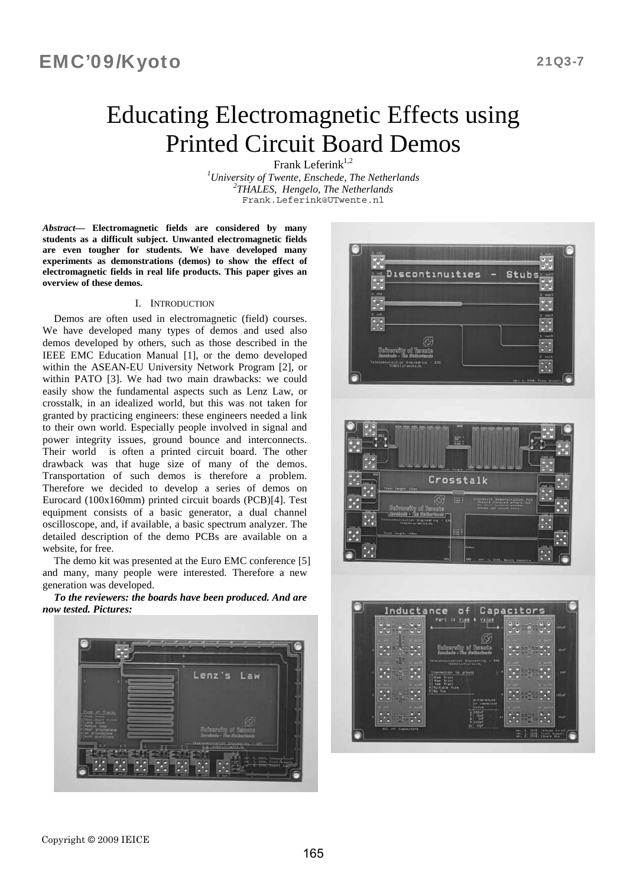# Educating Electromagnetic Effects using Printed Circuit Board Demos

Frank Leferin $k^{1,2}$ 

<sup>1</sup>University of Twente, Enschede, The Netherlands<br><sup>2</sup>THALES Hangele The Netherlands *THALES, Hengelo, The Netherlands*  Frank.Leferink@UTwente.nl

*Abstract***— Electromagnetic fields are considered by many students as a difficult subject. Unwanted electromagnetic fields are even tougher for students. We have developed many experiments as demonstrations (demos) to show the effect of electromagnetic fields in real life products. This paper gives an overview of these demos.** 

### I. INTRODUCTION

Demos are often used in electromagnetic (field) courses. We have developed many types of demos and used also demos developed by others, such as those described in the IEEE EMC Education Manual [1], or the demo developed within the ASEAN-EU University Network Program [2], or within PATO [3]. We had two main drawbacks: we could easily show the fundamental aspects such as Lenz Law, or crosstalk, in an idealized world, but this was not taken for granted by practicing engineers: these engineers needed a link to their own world. Especially people involved in signal and power integrity issues, ground bounce and interconnects. Their world is often a printed circuit board. The other drawback was that huge size of many of the demos. Transportation of such demos is therefore a problem. Therefore we decided to develop a series of demos on Eurocard (100x160mm) printed circuit boards (PCB)[4]. Test equipment consists of a basic generator, a dual channel oscilloscope, and, if available, a basic spectrum analyzer. The detailed description of the demo PCBs are available on a website, for free.

The demo kit was presented at the Euro EMC conference [5] and many, many people were interested. Therefore a new generation was developed.

*To the reviewers: the boards have been produced. And are now tested. Pictures:* 



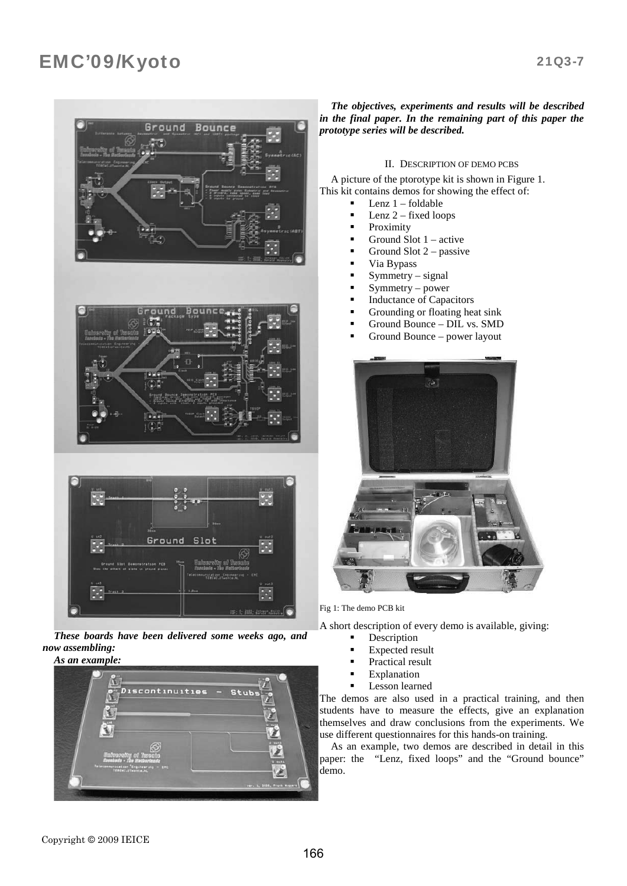# Ground **Bounce** Ground

*These boards have been delivered some weeks ago, and now assembling:* 



### *The objectives, experiments and results will be described in the final paper. In the remaining part of this paper the prototype series will be described.*

### II. DESCRIPTION OF DEMO PCBS

A picture of the ptorotype kit is shown in Figure 1. This kit contains demos for showing the effect of:

- Lenz 1 foldable
- Lenz 2 fixed loops
- Proximity
- Ground Slot 1 active
- Ground Slot 2 passive
- Via Bypass
- Symmetry signal
- $Symmetry power$
- Inductance of Capacitors
- Grounding or floating heat sink
- Ground Bounce DIL vs. SMD
- Ground Bounce power layout



Fig 1: The demo PCB kit

A short description of every demo is available, giving:

- Description
- Expected result
- Practical result
- Explanation
- Lesson learned

The demos are also used in a practical training, and then students have to measure the effects, give an explanation themselves and draw conclusions from the experiments. We use different questionnaires for this hands-on training.

As an example, two demos are described in detail in this paper: the "Lenz, fixed loops" and the "Ground bounce" demo.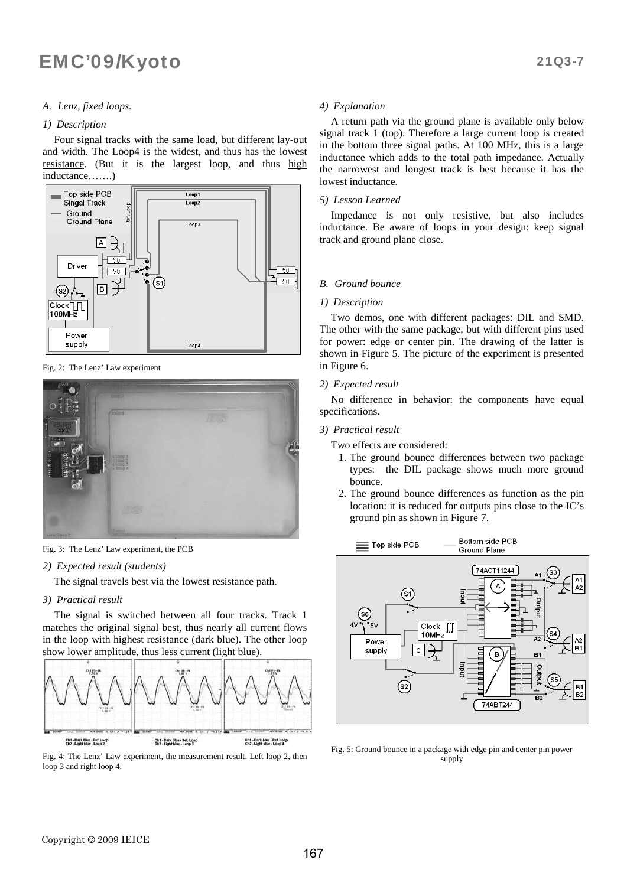### *A. Lenz, fixed loops.*

### *1) Description*

Four signal tracks with the same load, but different lay-out and width. The Loop4 is the widest, and thus has the lowest resistance. (But it is the largest loop, and thus high inductance…….)



Fig. 2: The Lenz' Law experiment





### *2) Expected result (students)*

The signal travels best via the lowest resistance path.

### *3) Practical result*

The signal is switched between all four tracks. Track 1 matches the original signal best, thus nearly all current flows in the loop with highest resistance (dark blue). The other loop show lower amplitude, thus less current (light blue).



Fig. 4: The Lenz' Law experiment, the measurement result. Left loop 2, then loop 3 and right loop 4.

### *4) Explanation*

A return path via the ground plane is available only below signal track 1 (top). Therefore a large current loop is created in the bottom three signal paths. At 100 MHz, this is a large inductance which adds to the total path impedance. Actually the narrowest and longest track is best because it has the lowest inductance.

### *5) Lesson Learned*

Impedance is not only resistive, but also includes inductance. Be aware of loops in your design: keep signal track and ground plane close.

### *B. Ground bounce*

### *1) Description*

Two demos, one with different packages: DIL and SMD. The other with the same package, but with different pins used for power: edge or center pin. The drawing of the latter is shown in Figure 5. The picture of the experiment is presented in Figure 6.

### *2) Expected result*

No difference in behavior: the components have equal specifications.

### *3) Practical result*

- Two effects are considered:
	- 1. The ground bounce differences between two package types: the DIL package shows much more ground bounce.
	- 2. The ground bounce differences as function as the pin location: it is reduced for outputs pins close to the IC's ground pin as shown in Figure 7.



Fig. 5: Ground bounce in a package with edge pin and center pin power supply